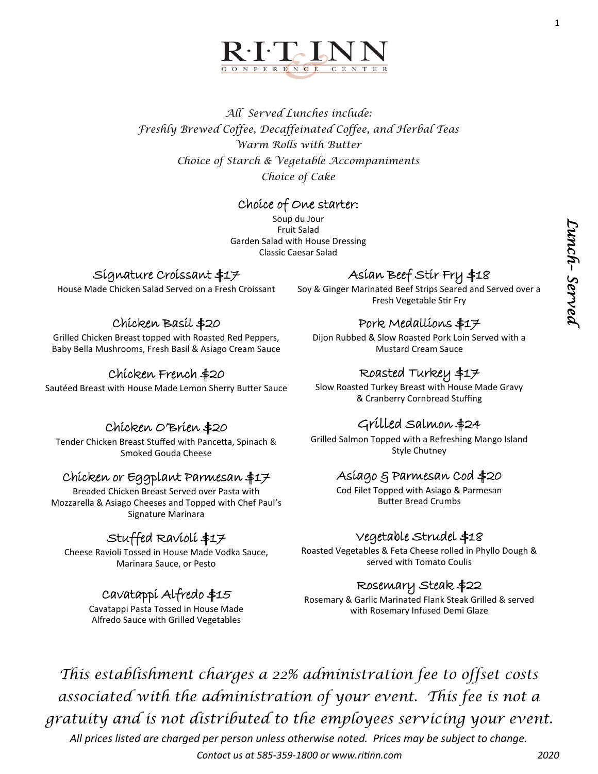1



*All Served Lunches include: Freshly Brewed Coffee, Decaffeinated Coffee, and Herbal Teas Warm Rolls with Butter Choice of Starch & Vegetable Accompaniments Choice of Cake*

### Choice of One starter:

Soup du Jour Fruit Salad Garden Salad with House Dressing Classic Caesar Salad

### Signature Croissant \$17

House Made Chicken Salad Served on a Fresh Croissant

## Chicken Basil \$20

Grilled Chicken Breast topped with Roasted Red Peppers, Baby Bella Mushrooms, Fresh Basil & Asiago Cream Sauce

### Chicken French \$20

Sautéed Breast with House Made Lemon Sherry Butter Sauce

## Asian Beef Stir Fry \$18

Soy & Ginger Marinated Beef Strips Seared and Served over a Fresh Vegetable Stir Fry

## Pork Medallions \$17

Dijon Rubbed & Slow Roasted Pork Loin Served with a Mustard Cream Sauce

## Roasted Turkey \$17

Slow Roasted Turkey Breast with House Made Gravy & Cranberry Cornbread Stuffing

## Grilled Salmon \$24

Grilled Salmon Topped with a Refreshing Mango Island Style Chutney

## Asiago & Parmesan Cod \$20

Cod Filet Topped with Asiago & Parmesan Butter Bread Crumbs

## Vegetable Strudel \$18

Roasted Vegetables & Feta Cheese rolled in Phyllo Dough & served with Tomato Coulis

## Rosemary Steak \$22

Rosemary & Garlic Marinated Flank Steak Grilled & served with Rosemary Infused Demi Glaze

*This establishment charges a 22% administration fee to offset costs associated with the administration of your event. This fee is not a gratuity and is not distributed to the employees servicing your event.* 

*All prices listed are charged per person unless otherwise noted. Prices may be subject to change. Contact us at 585-359-1800 or www.ritinn.com 2020*

# Chicken O'Brien \$20

Tender Chicken Breast Stuffed with Pancetta, Spinach & Smoked Gouda Cheese

### Chicken or Eggplant Parmesan \$17

Breaded Chicken Breast Served over Pasta with Mozzarella & Asiago Cheeses and Topped with Chef Paul's Signature Marinara

## Stuffed Ravioli \$17

Cheese Ravioli Tossed in House Made Vodka Sauce, Marinara Sauce, or Pesto

## Cavatappi Alfredo \$15

Cavatappi Pasta Tossed in House Made Alfredo Sauce with Grilled Vegetables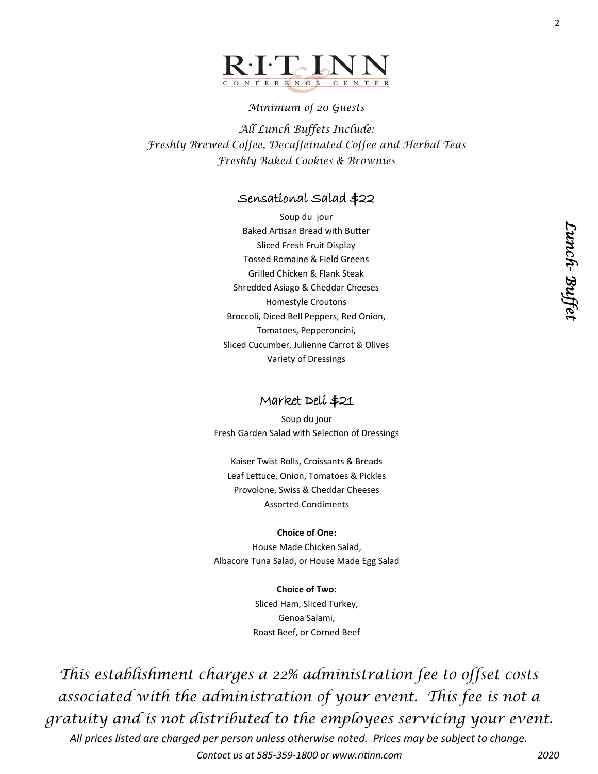

### *Minimum of 20 Guests*

*All Lunch Buffets Include: Freshly Brewed Coffee, Decaffeinated Coffee and Herbal Teas Freshly Baked Cookies & Brownies* 

### Sensational Salad \$22

Soup du jour Baked Artisan Bread with Butter Sliced Fresh Fruit Display Tossed Romaine & Field Greens Grilled Chicken & Flank Steak Shredded Asiago & Cheddar Cheeses Homestyle Croutons Broccoli, Diced Bell Peppers, Red Onion, Tomatoes, Pepperoncini, Sliced Cucumber, Julienne Carrot & Olives Variety of Dressings

#### Market Deli \$21

Soup du jour Fresh Garden Salad with Selection of Dressings

Kaiser Twist Rolls, Croissants & Breads Leaf Lettuce, Onion, Tomatoes & Pickles Provolone, Swiss & Cheddar Cheeses Assorted Condiments

#### **Choice of One:**

House Made Chicken Salad, Albacore Tuna Salad, or House Made Egg Salad

**Choice of Two:**

Sliced Ham, Sliced Turkey, Genoa Salami, Roast Beef, or Corned Beef

*This establishment charges a 22% administration fee to offset costs associated with the administration of your event. This fee is not a gratuity and is not distributed to the employees servicing your event.*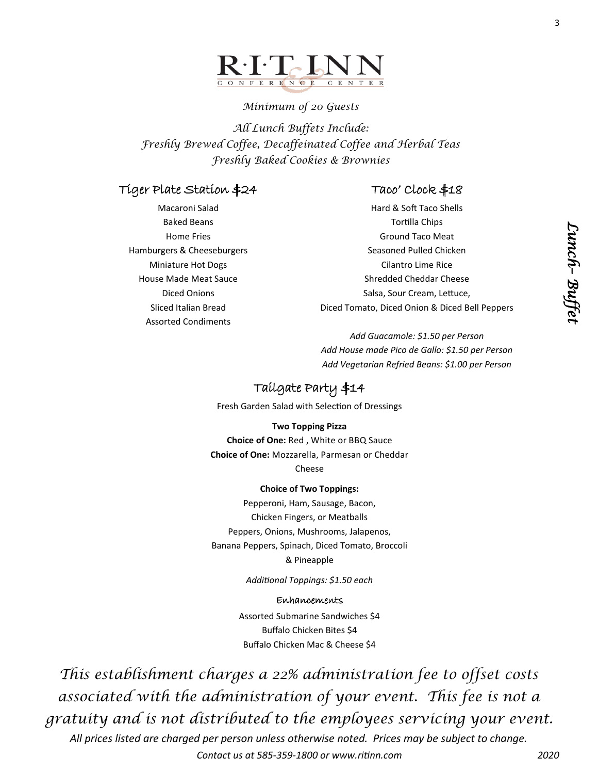

### *Minimum of 20 Guests*

*All Lunch Buffets Include: Freshly Brewed Coffee, Decaffeinated Coffee and Herbal Teas Freshly Baked Cookies & Brownies* 

### Tiger Plate Station \$24

## Taco' Clock \$18

Macaroni Salad Baked Beans Home Fries Hamburgers & Cheeseburgers Miniature Hot Dogs House Made Meat Sauce Diced Onions Sliced Italian Bread Assorted Condiments

Hard & Soft Taco Shells Tortilla Chips Ground Taco Meat Seasoned Pulled Chicken Cilantro Lime Rice Shredded Cheddar Cheese Salsa, Sour Cream, Lettuce, Diced Tomato, Diced Onion & Diced Bell Peppers

*Add Guacamole: \$1.50 per Person Add House made Pico de Gallo: \$1.50 per Person Add Vegetarian Refried Beans: \$1.00 per Person* 

## Tailgate Party \$14

Fresh Garden Salad with Selection of Dressings

#### **Two Topping Pizza**

**Choice of One:** Red , White or BBQ Sauce **Choice of One:** Mozzarella, Parmesan or Cheddar Cheese

#### **Choice of Two Toppings:**

Pepperoni, Ham, Sausage, Bacon, Chicken Fingers, or Meatballs Peppers, Onions, Mushrooms, Jalapenos, Banana Peppers, Spinach, Diced Tomato, Broccoli & Pineapple

*Additional Toppings: \$1.50 each*

#### Enhancements

Assorted Submarine Sandwiches \$4 Buffalo Chicken Bites \$4 Buffalo Chicken Mac & Cheese \$4

*This establishment charges a 22% administration fee to offset costs associated with the administration of your event. This fee is not a gratuity and is not distributed to the employees servicing your event.*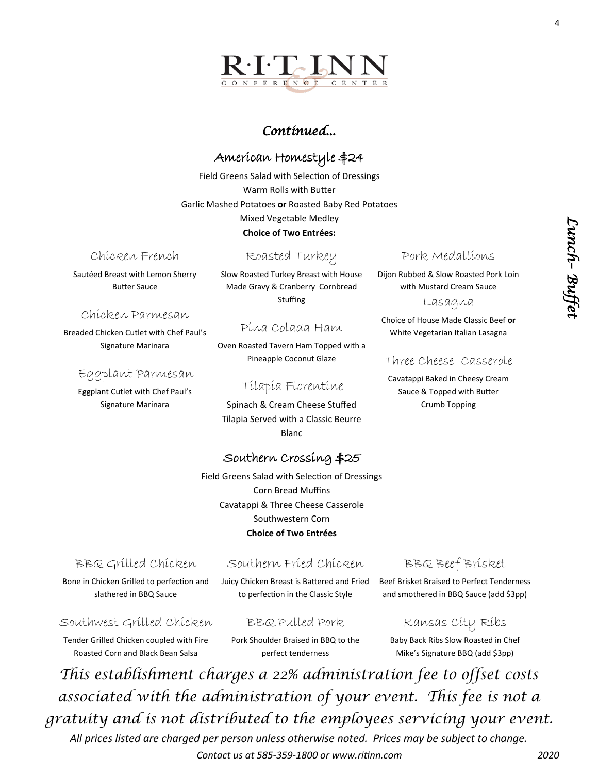

*Lunch*

*– Buffet* 

4

## *Continued...*

## American Homestyle \$24

Field Greens Salad with Selection of Dressings Warm Rolls with Butter Garlic Mashed Potatoes **or** Roasted Baby Red Potatoes Mixed Vegetable Medley **Choice of Two Entrées:**

### Chicken French

Sautéed Breast with Lemon Sherry Butter Sauce

### Chicken Parmesan

Breaded Chicken Cutlet with Chef Paul's Signature Marinara

### Eggplant Parmesan

Eggplant Cutlet with Chef Paul's Signature Marinara

### Roasted Turkey

Slow Roasted Turkey Breast with House Made Gravy & Cranberry Cornbread Stuffing

### Pina Colada Ham

Oven Roasted Tavern Ham Topped with a Pineapple Coconut Glaze

### Tilapia Florentine

Spinach & Cream Cheese Stuffed Tilapia Served with a Classic Beurre Blanc

## Southern Crossing \$25

Field Greens Salad with Selection of Dressings Corn Bread Muffins Cavatappi & Three Cheese Casserole Southwestern Corn **Choice of Two Entrées**

### BBQ Grilled Chicken

Bone in Chicken Grilled to perfection and slathered in BBQ Sauce

### Southern Fried Chicken

Juicy Chicken Breast is Battered and Fried to perfection in the Classic Style

## BBQ Beef Brisket

Beef Brisket Braised to Perfect Tenderness and smothered in BBQ Sauce (add \$3pp)

### Southwest Grilled Chicken

Tender Grilled Chicken coupled with Fire Roasted Corn and Black Bean Salsa

Pork Shoulder Braised in BBQ to the perfect tenderness

BBQ Pulled Pork

Kansas City Ribs Baby Back Ribs Slow Roasted in Chef Mike's Signature BBQ (add \$3pp)

*This establishment charges a 22% administration fee to offset costs associated with the administration of your event. This fee is not a gratuity and is not distributed to the employees servicing your event.* 

*All prices listed are charged per person unless otherwise noted. Prices may be subject to change. Contact us at 585-359-1800 or www.ritinn.com 2020*

#### Pork Medallions

Dijon Rubbed & Slow Roasted Pork Loin with Mustard Cream Sauce

Lasagna

Choice of House Made Classic Beef **or**  White Vegetarian Italian Lasagna

### Three Cheese Casserole

Cavatappi Baked in Cheesy Cream Sauce & Topped with Butter Crumb Topping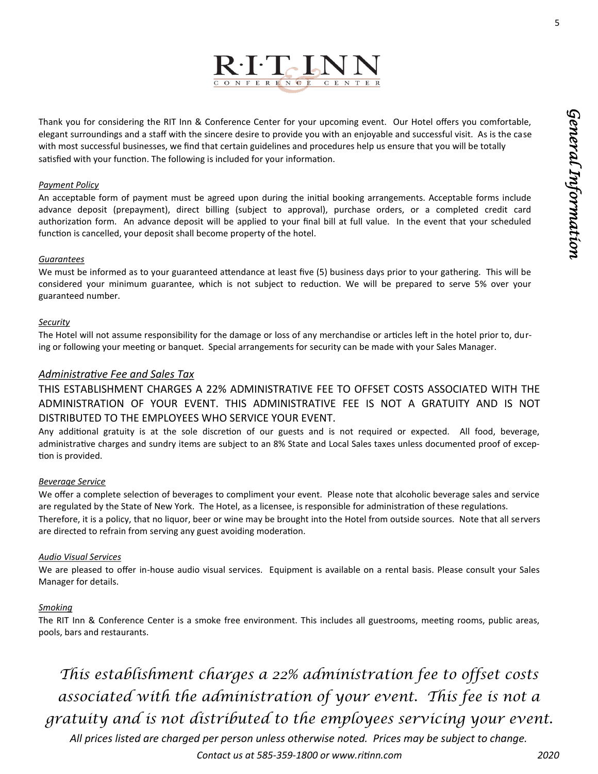5



Thank you for considering the RIT Inn & Conference Center for your upcoming event. Our Hotel offers you comfortable, elegant surroundings and a staff with the sincere desire to provide you with an enjoyable and successful visit. As is the case with most successful businesses, we find that certain guidelines and procedures help us ensure that you will be totally satisfied with your function. The following is included for your information.

#### *Payment Policy*

An acceptable form of payment must be agreed upon during the initial booking arrangements. Acceptable forms include advance deposit (prepayment), direct billing (subject to approval), purchase orders, or a completed credit card authorization form. An advance deposit will be applied to your final bill at full value. In the event that your scheduled function is cancelled, your deposit shall become property of the hotel.

#### *Guarantees*

We must be informed as to your guaranteed attendance at least five (5) business days prior to your gathering. This will be considered your minimum guarantee, which is not subject to reduction. We will be prepared to serve 5% over your guaranteed number.

#### *Security*

The Hotel will not assume responsibility for the damage or loss of any merchandise or articles left in the hotel prior to, during or following your meeting or banquet. Special arrangements for security can be made with your Sales Manager.

#### *Administrative Fee and Sales Tax*

THIS ESTABLISHMENT CHARGES A 22% ADMINISTRATIVE FEE TO OFFSET COSTS ASSOCIATED WITH THE ADMINISTRATION OF YOUR EVENT. THIS ADMINISTRATIVE FEE IS NOT A GRATUITY AND IS NOT DISTRIBUTED TO THE EMPLOYEES WHO SERVICE YOUR EVENT.

Any additional gratuity is at the sole discretion of our guests and is not required or expected. All food, beverage, administrative charges and sundry items are subject to an 8% State and Local Sales taxes unless documented proof of exception is provided.

#### *Beverage Service*

We offer a complete selection of beverages to compliment your event. Please note that alcoholic beverage sales and service are regulated by the State of New York. The Hotel, as a licensee, is responsible for administration of these regulations. Therefore, it is a policy, that no liquor, beer or wine may be brought into the Hotel from outside sources. Note that all servers are directed to refrain from serving any guest avoiding moderation.

#### *Audio Visual Services*

We are pleased to offer in-house audio visual services. Equipment is available on a rental basis. Please consult your Sales Manager for details.

#### *Smoking*

The RIT Inn & Conference Center is a smoke free environment. This includes all guestrooms, meeting rooms, public areas, pools, bars and restaurants.

*This establishment charges a 22% administration fee to offset costs associated with the administration of your event. This fee is not a gratuity and is not distributed to the employees servicing your event.*